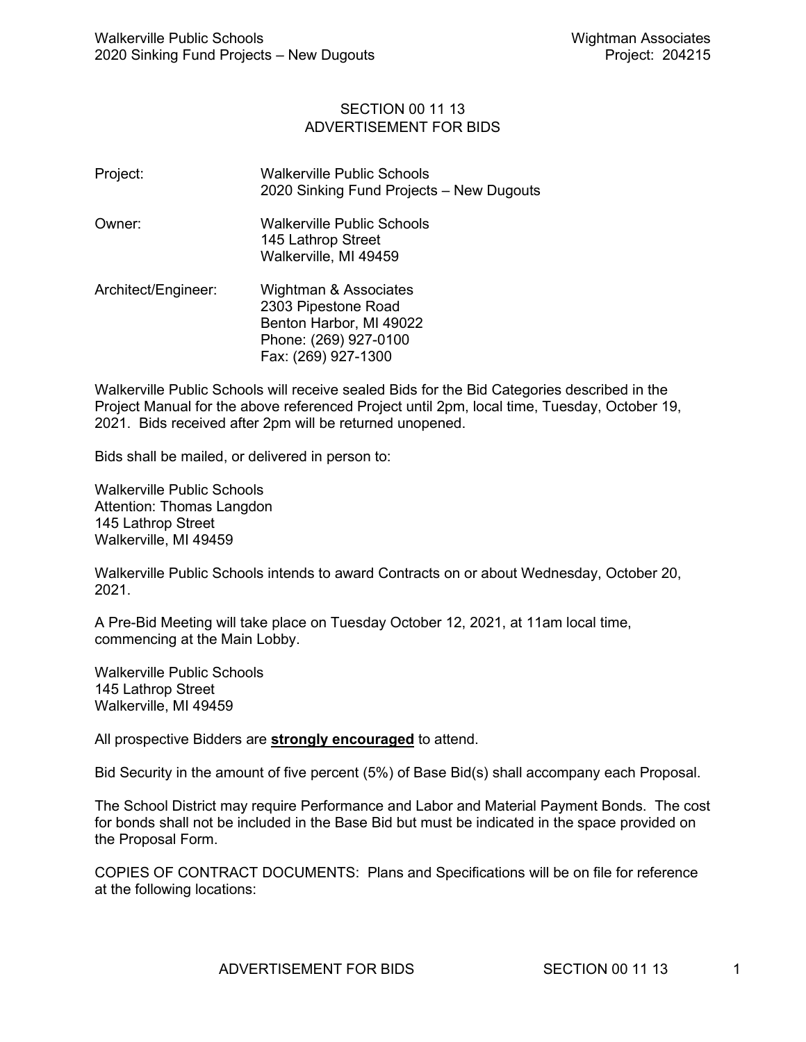## SECTION 00 11 13 ADVERTISEMENT FOR BIDS

| Project:            | Walkerville Public Schools<br>2020 Sinking Fund Projects - New Dugouts                                                  |
|---------------------|-------------------------------------------------------------------------------------------------------------------------|
| Owner:              | Walkerville Public Schools<br>145 Lathrop Street<br>Walkerville, MI 49459                                               |
| Architect/Engineer: | Wightman & Associates<br>2303 Pipestone Road<br>Benton Harbor, MI 49022<br>Phone: (269) 927-0100<br>Fax: (269) 927-1300 |

Walkerville Public Schools will receive sealed Bids for the Bid Categories described in the Project Manual for the above referenced Project until 2pm, local time, Tuesday, October 19, 2021. Bids received after 2pm will be returned unopened.

Bids shall be mailed, or delivered in person to:

Walkerville Public Schools Attention: Thomas Langdon 145 Lathrop Street Walkerville, MI 49459

Walkerville Public Schools intends to award Contracts on or about Wednesday, October 20, 2021.

A Pre-Bid Meeting will take place on Tuesday October 12, 2021, at 11am local time, commencing at the Main Lobby.

Walkerville Public Schools 145 Lathrop Street Walkerville, MI 49459

All prospective Bidders are **strongly encouraged** to attend.

Bid Security in the amount of five percent (5%) of Base Bid(s) shall accompany each Proposal.

The School District may require Performance and Labor and Material Payment Bonds. The cost for bonds shall not be included in the Base Bid but must be indicated in the space provided on the Proposal Form.

COPIES OF CONTRACT DOCUMENTS: Plans and Specifications will be on file for reference at the following locations: